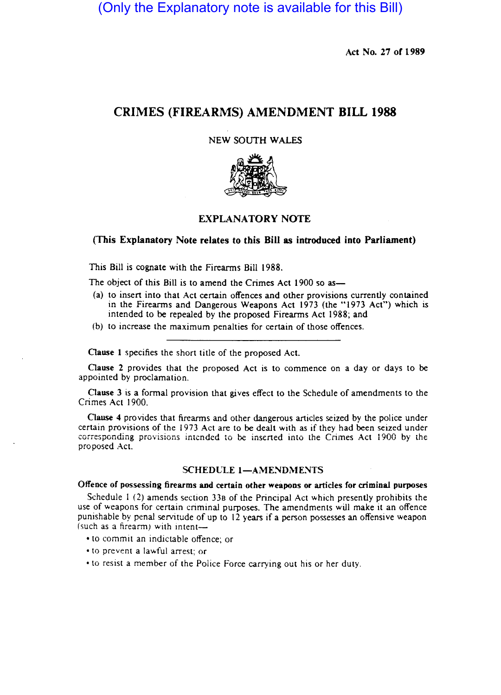(Only the Explanatory note is available for this Bill)

Act No. 27 or 1989

# CRIMES (FIREARMS) AMENDMENT **BILL 1988**

# NEW SOUTH WALES



# EXPLANATORY NOTE

# (This Explanatory Note relates to this Bill as introduced into Parliament)

This Bill is cognate with the Firearms Bill 1988.

The object of this Bill is to amend the Crimes Act 1900 so as—

- (a) to insert into that Act certain offences and other provisions currently contained in the Firearms and Dangerous Weapons Act 1973 (the "1973 Act") which is intended to be repealed by the proposed Firearms Act 1988; and
- (b) to increase the maximum penalties for certain of those offences.

Oause 1 specifies the short title of the proposed Act.

Oause 2 provides that the proposed Act is to commence on a day or days to be appointed by proclamation.

Clause 3 is a formal provision that gives effect to the Schedule of amendments to the Crimes Act 1900.

Oause 4 provides that firearms and other dangerous articles seized by the police under certain provisions of the 1973 Act are to be dealt with as if they had been seized under corresponding provisions intended to be inserted into the Crimes Act 1900 by the proposed Act.

# SCHEDULE 1-AMENDMENTS

Offence of possessing firearms and certain other weapons or articles for criminal purposes

Schedule I (2) amends section 338 of the Principal Act which presently prohibits the use of weapons for certain criminal purposes. The amendments will make it an offence punishable by penal servitude of up to 12 years if a person possesses an offensive weapon (such as a firearm) with intent-

• to commit an indictable offence; or

• to prevent a lawful arrest; or

• to resist a member of the Police Force carrying out his or her duty.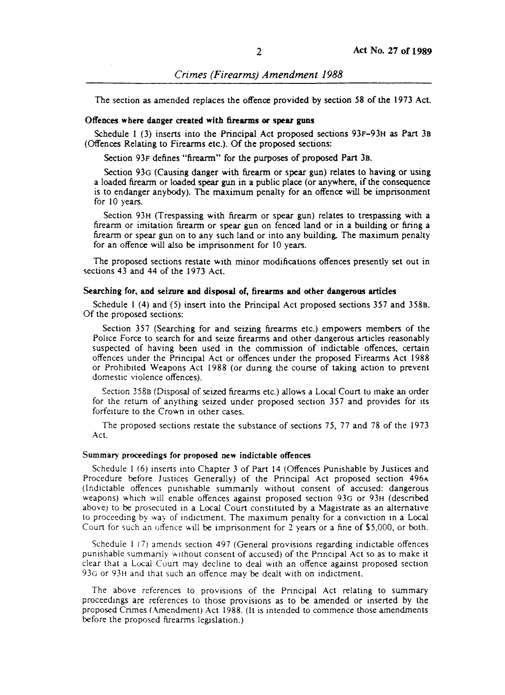The section as amended replaces the offence provided by section 58 of the 1973 Act.

#### Offences where danger created with firearms or spear guns

Schedule 1 (3) inserts into the Principal Act proposed sections 93F-93H as Part 3B (Offences Relating to Firearms etc.). Of the proposed sections:

Section 93F defines "firearm" for the purposes of proposed Part 3B.

Section *930* (Causing danger with firearm or spear gun) relates to having or using a loaded fireann or loaded spear gun in a public place (or anywhere, if the consequence is to endanger anybody). The maximum penalty for an offence will be imprisonment for 10 years.

Section 93H (Trespassing with firearm or spear gun) relates to trespassing with a firearm or imitation firearm or spear gun on fenced land or in a building or firing a firearm or spear gun on to any such land or into any building. The maximum penalty for an offence will also be imprisonment for 10 years.

The proposed sections restate with minor modifications offences presently set out in sections 43 and 44 of the 1973 Act.

## Searching for, and seizure and disposal of, firearms and other dangerous articles

Schedule 1 (4) and (5) insert into the Principal Act proposed sections 357 and 358B. Of the proposed sections:

Section 357 (Searching for and seizing firearms etc.) empowers members of the Police Force to search for and seize firearms and other dangerous articles reasonably suspected of having been used in the commission of indictable offences, certain offences under the Principal Act or offences under the proposed Firearms Act 1988 or Prohibited Weapons Act 1988 (or during the course of taking action to prevent domestic violence offences).

Section 358B (Disposal of seized firearms etc.) allows a Local Court to make an order for the return of anything seized under proposed section 357 and provides for its forfeiture to the Crown in other cases.

The proposed sections restate the substance of sections 75, 77 and 78 of the 1973 Act.

### Summary proceedings for proposed new indictable offences

Schedule I (6) inserts into Chapter 3 of Part 14 (Offences Punishable by Justices and Procedure before Justices Generally) of the Principal Act proposed section 496A (Indictable offences punishable summarily without consent of accused: dangerous weapons) which will enable offences against proposed section *930* or 93H (described above) to be prosecuted in a Local Court constituted by a Magistrate as an alternative to proceeding by way of indictment. The maximum penalty for a conviction in a Local Coun for such an offence will be imprisonment for 2 years or a fine of \$5,000, or both.

Schedule I (7) amends section 497 (General provisions regarding indictable offences punishable summariiy without consent of accused) of the Principal Act so as to make it clear that a Local Coun may decline to deal with an offence against proposed section 93G or 93H and that such an offence may be dealt with on indictment.

The above references to provisions of the Principal Act relating to summary proceedings are references to those provisions as to be amended or inserted by the proposed Crimes (Amendment) Act 1988. (It is intended to commence those amendments before the proposed firearms legislation.)